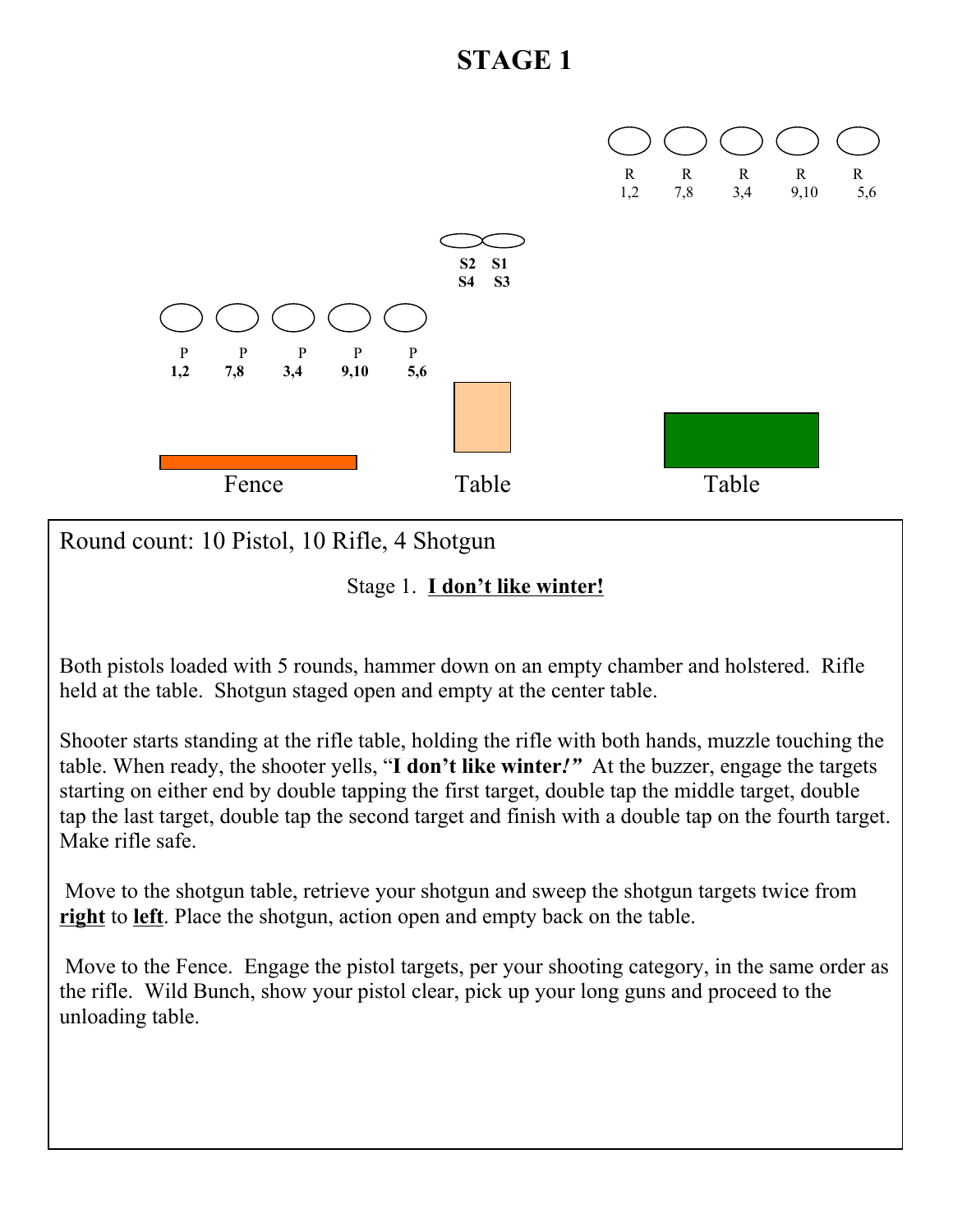

Round count: 10 Pistol, 10 Rifle, 4 Shotgun

Stage 1. **I don't like winter!**

Both pistols loaded with 5 rounds, hammer down on an empty chamber and holstered. Rifle held at the table. Shotgun staged open and empty at the center table.

Shooter starts standing at the rifle table, holding the rifle with both hands, muzzle touching the table. When ready, the shooter yells, "**I don't like winter***!"* At the buzzer, engage the targets starting on either end by double tapping the first target, double tap the middle target, double tap the last target, double tap the second target and finish with a double tap on the fourth target. Make rifle safe.

Move to the shotgun table, retrieve your shotgun and sweep the shotgun targets twice from **right** to **left**. Place the shotgun, action open and empty back on the table.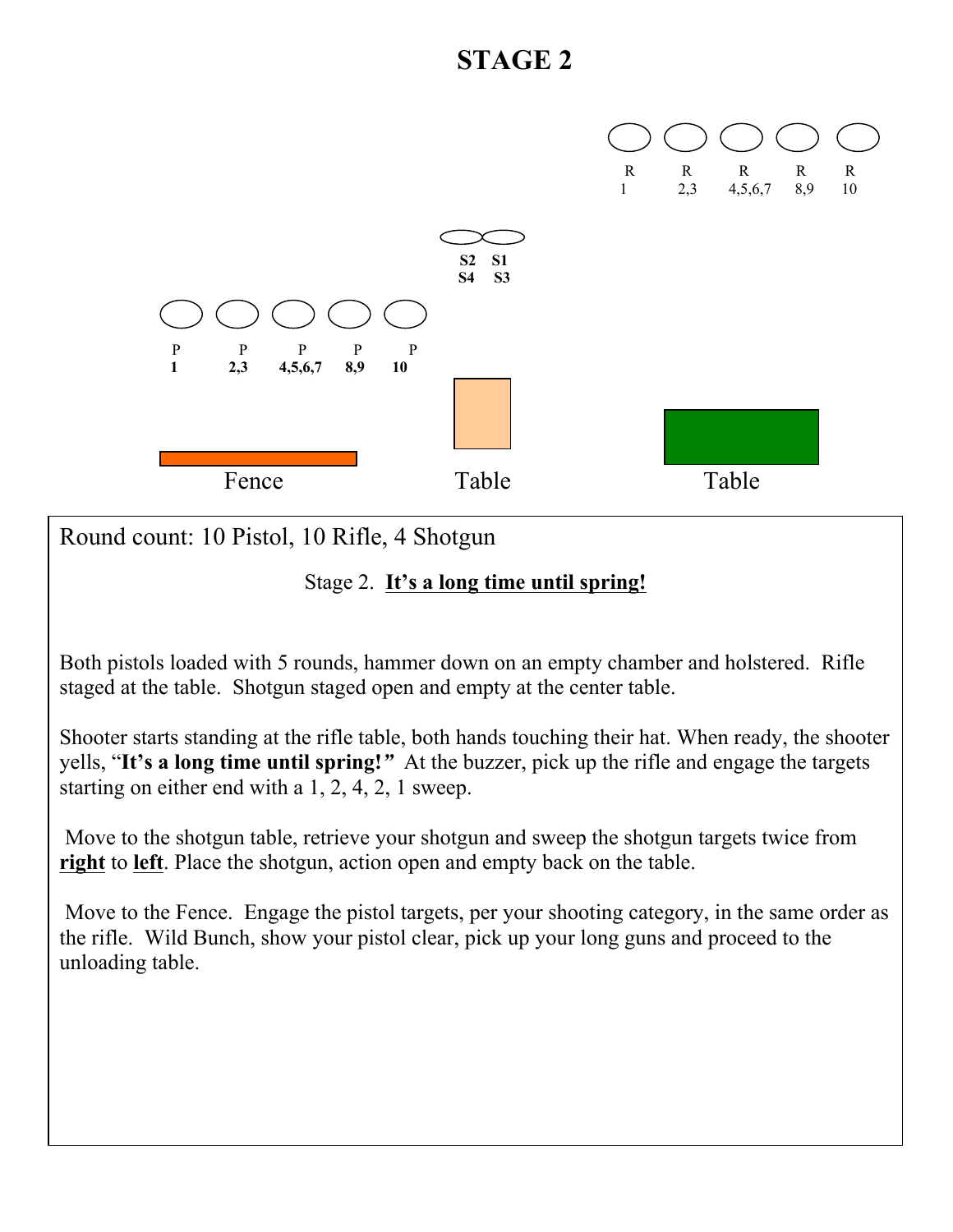

Round count: 10 Pistol, 10 Rifle, 4 Shotgun

#### Stage 2. **It's a long time until spring!**

Both pistols loaded with 5 rounds, hammer down on an empty chamber and holstered. Rifle staged at the table. Shotgun staged open and empty at the center table.

Shooter starts standing at the rifle table, both hands touching their hat. When ready, the shooter yells, "**It's a long time until spring!***"* At the buzzer, pick up the rifle and engage the targets starting on either end with a 1, 2, 4, 2, 1 sweep.

 Move to the shotgun table, retrieve your shotgun and sweep the shotgun targets twice from **right** to **left**. Place the shotgun, action open and empty back on the table.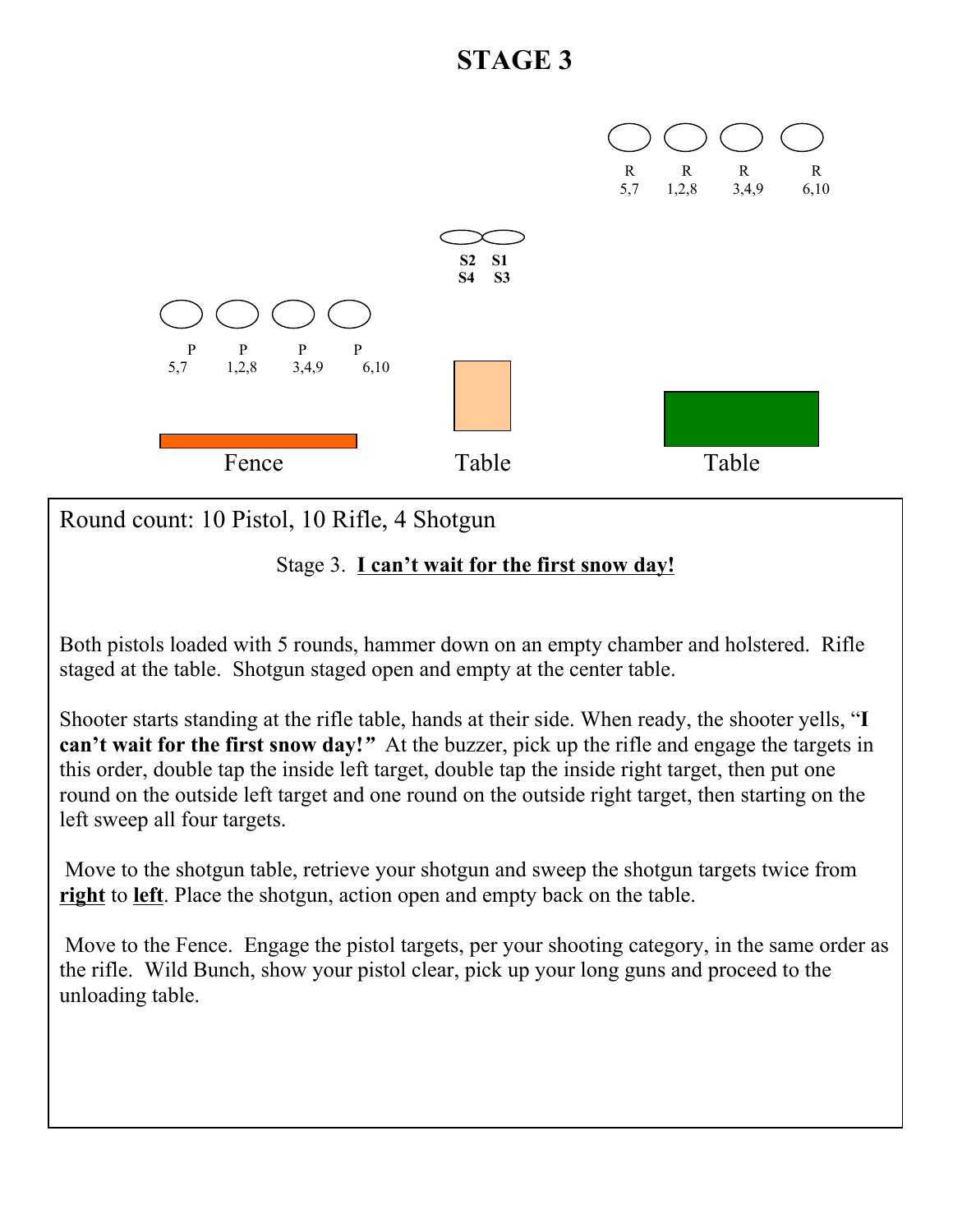

Round count: 10 Pistol, 10 Rifle, 4 Shotgun

Stage 3. **I can't wait for the first snow day!**

Both pistols loaded with 5 rounds, hammer down on an empty chamber and holstered. Rifle staged at the table. Shotgun staged open and empty at the center table.

Shooter starts standing at the rifle table, hands at their side. When ready, the shooter yells, "**I can't wait for the first snow day!***"* At the buzzer, pick up the rifle and engage the targets in this order, double tap the inside left target, double tap the inside right target, then put one round on the outside left target and one round on the outside right target, then starting on the left sweep all four targets.

 Move to the shotgun table, retrieve your shotgun and sweep the shotgun targets twice from **right** to **left**. Place the shotgun, action open and empty back on the table.